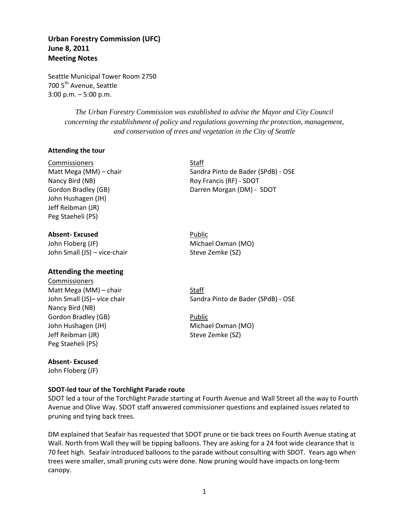# **Urban Forestry Commission (UFC) June 8, 2011 Meeting Notes**

Seattle Municipal Tower Room 2750 700 5<sup>th</sup> Avenue, Seattle 3:00 p.m. – 5:00 p.m.

> *The Urban Forestry Commission was established to advise the Mayor and City Council concerning the establishment of policy and regulations governing the protection, management, and conservation of trees and vegetation in the City of Seattle*

#### **Attending the tour**

Commissioners Staff Nancy Bird (NB) Roy Francis (RF) - SDOT John Hushagen (JH) Jeff Reibman (JR) Peg Staeheli (PS)

#### **Absent-Excused Public Public**

John Floberg (JF) Michael Oxman (MO) John Small (JS) – vice-chair Steve Zemke (SZ)

### **Attending the meeting**

Commissioners Matt Mega  $(MM)$  – chair Staff Nancy Bird (NB) Gordon Bradley (GB) **Public** John Hushagen (JH) Michael Oxman (MO) Jeff Reibman (JR) Steve Zemke (SZ) Peg Staeheli (PS)

### **Absent- Excused**

John Floberg (JF)

### **SDOT-led tour of the Torchlight Parade route**

SDOT led a tour of the Torchlight Parade starting at Fourth Avenue and Wall Street all the way to Fourth Avenue and Olive Way. SDOT staff answered commissioner questions and explained issues related to pruning and tying back trees.

DM explained that Seafair has requested that SDOT prune or tie back trees on Fourth Avenue stating at Wall. North from Wall they will be tipping balloons. They are asking for a 24 foot wide clearance that is 70 feet high. Seafair introduced balloons to the parade without consulting with SDOT. Years ago when trees were smaller, small pruning cuts were done. Now pruning would have impacts on long-term canopy.

Matt Mega (MM) – chair Sandra Pinto de Bader (SPdB) - OSE Gordon Bradley (GB) Darren Morgan (DM) - SDOT

John Small (JS)- vice chair Sandra Pinto de Bader (SPdB) - OSE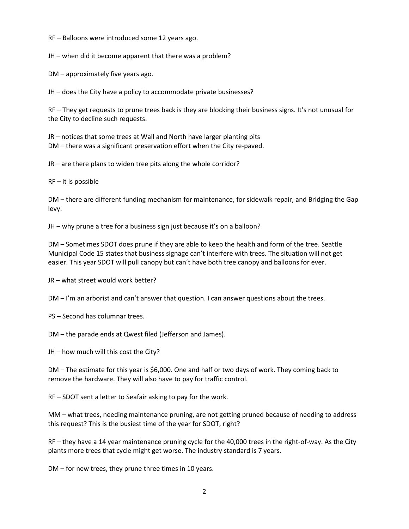RF – Balloons were introduced some 12 years ago.

JH – when did it become apparent that there was a problem?

DM – approximately five years ago.

JH – does the City have a policy to accommodate private businesses?

RF – They get requests to prune trees back is they are blocking their business signs. It's not unusual for the City to decline such requests.

JR – notices that some trees at Wall and North have larger planting pits DM – there was a significant preservation effort when the City re-paved.

JR – are there plans to widen tree pits along the whole corridor?

RF – it is possible

DM – there are different funding mechanism for maintenance, for sidewalk repair, and Bridging the Gap levy.

JH – why prune a tree for a business sign just because it's on a balloon?

DM – Sometimes SDOT does prune if they are able to keep the health and form of the tree. Seattle Municipal Code 15 states that business signage can't interfere with trees. The situation will not get easier. This year SDOT will pull canopy but can't have both tree canopy and balloons for ever.

JR – what street would work better?

DM – I'm an arborist and can't answer that question. I can answer questions about the trees.

PS – Second has columnar trees.

DM – the parade ends at Qwest filed (Jefferson and James).

JH – how much will this cost the City?

DM – The estimate for this year is \$6,000. One and half or two days of work. They coming back to remove the hardware. They will also have to pay for traffic control.

RF – SDOT sent a letter to Seafair asking to pay for the work.

MM – what trees, needing maintenance pruning, are not getting pruned because of needing to address this request? This is the busiest time of the year for SDOT, right?

RF – they have a 14 year maintenance pruning cycle for the 40,000 trees in the right-of-way. As the City plants more trees that cycle might get worse. The industry standard is 7 years.

DM – for new trees, they prune three times in 10 years.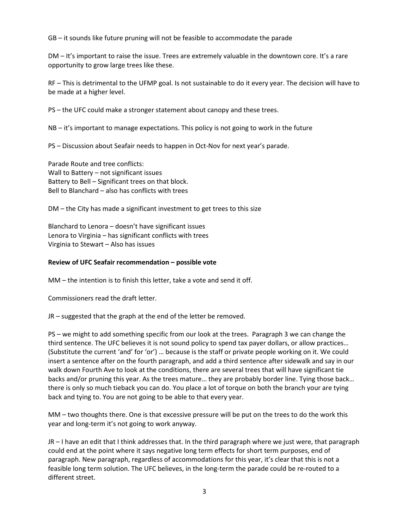GB – it sounds like future pruning will not be feasible to accommodate the parade

DM – It's important to raise the issue. Trees are extremely valuable in the downtown core. It's a rare opportunity to grow large trees like these.

RF – This is detrimental to the UFMP goal. Is not sustainable to do it every year. The decision will have to be made at a higher level.

PS – the UFC could make a stronger statement about canopy and these trees.

NB – it's important to manage expectations. This policy is not going to work in the future

PS – Discussion about Seafair needs to happen in Oct-Nov for next year's parade.

Parade Route and tree conflicts: Wall to Battery – not significant issues Battery to Bell – Significant trees on that block. Bell to Blanchard – also has conflicts with trees

DM – the City has made a significant investment to get trees to this size

Blanchard to Lenora – doesn't have significant issues Lenora to Virginia – has significant conflicts with trees Virginia to Stewart – Also has issues

#### **Review of UFC Seafair recommendation – possible vote**

MM – the intention is to finish this letter, take a vote and send it off.

Commissioners read the draft letter.

JR – suggested that the graph at the end of the letter be removed.

PS – we might to add something specific from our look at the trees. Paragraph 3 we can change the third sentence. The UFC believes it is not sound policy to spend tax payer dollars, or allow practices… (Substitute the current 'and' for 'or') … because is the staff or private people working on it. We could insert a sentence after on the fourth paragraph, and add a third sentence after sidewalk and say in our walk down Fourth Ave to look at the conditions, there are several trees that will have significant tie backs and/or pruning this year. As the trees mature… they are probably border line. Tying those back… there is only so much tieback you can do. You place a lot of torque on both the branch your are tying back and tying to. You are not going to be able to that every year.

MM – two thoughts there. One is that excessive pressure will be put on the trees to do the work this year and long-term it's not going to work anyway.

JR – I have an edit that I think addresses that. In the third paragraph where we just were, that paragraph could end at the point where it says negative long term effects for short term purposes, end of paragraph. New paragraph, regardless of accommodations for this year, it's clear that this is not a feasible long term solution. The UFC believes, in the long-term the parade could be re-routed to a different street.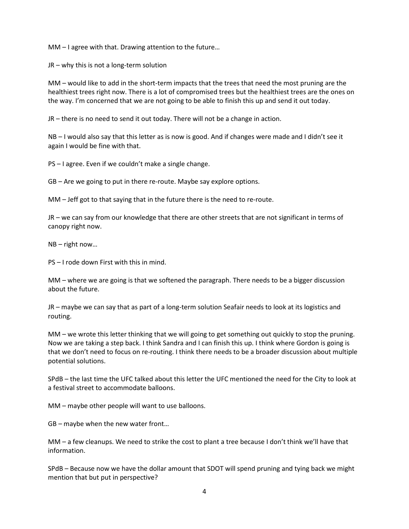MM – I agree with that. Drawing attention to the future…

JR – why this is not a long-term solution

MM – would like to add in the short-term impacts that the trees that need the most pruning are the healthiest trees right now. There is a lot of compromised trees but the healthiest trees are the ones on the way. I'm concerned that we are not going to be able to finish this up and send it out today.

JR – there is no need to send it out today. There will not be a change in action.

NB – I would also say that this letter as is now is good. And if changes were made and I didn't see it again I would be fine with that.

PS – I agree. Even if we couldn't make a single change.

GB – Are we going to put in there re-route. Maybe say explore options.

MM – Jeff got to that saying that in the future there is the need to re-route.

JR – we can say from our knowledge that there are other streets that are not significant in terms of canopy right now.

NB – right now…

PS – I rode down First with this in mind.

MM – where we are going is that we softened the paragraph. There needs to be a bigger discussion about the future.

JR – maybe we can say that as part of a long-term solution Seafair needs to look at its logistics and routing.

MM – we wrote this letter thinking that we will going to get something out quickly to stop the pruning. Now we are taking a step back. I think Sandra and I can finish this up. I think where Gordon is going is that we don't need to focus on re-routing. I think there needs to be a broader discussion about multiple potential solutions.

SPdB – the last time the UFC talked about this letter the UFC mentioned the need for the City to look at a festival street to accommodate balloons.

MM – maybe other people will want to use balloons.

GB – maybe when the new water front…

| MM – a few cleanups. We need to strike the cost to plant a tree because I don't think we'll have that |  |  |  |  |  |
|-------------------------------------------------------------------------------------------------------|--|--|--|--|--|
| information.                                                                                          |  |  |  |  |  |

SPdB – Because now we have the dollar amount that SDOT will spend pruning and tying back we might mention that but put in perspective?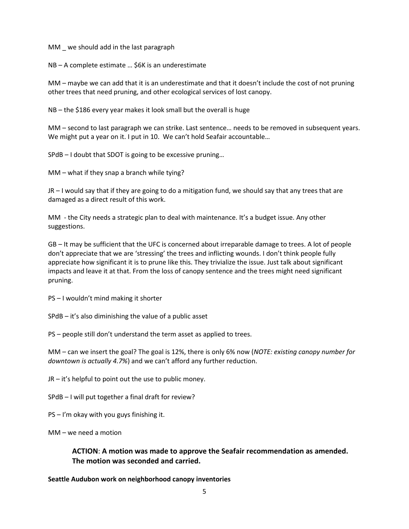MM \_ we should add in the last paragraph

NB – A complete estimate … \$6K is an underestimate

MM – maybe we can add that it is an underestimate and that it doesn't include the cost of not pruning other trees that need pruning, and other ecological services of lost canopy.

NB – the \$186 every year makes it look small but the overall is huge

MM – second to last paragraph we can strike. Last sentence… needs to be removed in subsequent years. We might put a year on it. I put in 10. We can't hold Seafair accountable...

SPdB – I doubt that SDOT is going to be excessive pruning…

MM – what if they snap a branch while tying?

JR – I would say that if they are going to do a mitigation fund, we should say that any trees that are damaged as a direct result of this work.

MM - the City needs a strategic plan to deal with maintenance. It's a budget issue. Any other suggestions.

GB – It may be sufficient that the UFC is concerned about irreparable damage to trees. A lot of people don't appreciate that we are 'stressing' the trees and inflicting wounds. I don't think people fully appreciate how significant it is to prune like this. They trivialize the issue. Just talk about significant impacts and leave it at that. From the loss of canopy sentence and the trees might need significant pruning.

PS – I wouldn't mind making it shorter

SPdB – it's also diminishing the value of a public asset

PS – people still don't understand the term asset as applied to trees.

MM – can we insert the goal? The goal is 12%, there is only 6% now (*NOTE: existing canopy number for downtown is actually 4.7%*) and we can't afford any further reduction.

JR – it's helpful to point out the use to public money.

SPdB – I will put together a final draft for review?

PS – I'm okay with you guys finishing it.

MM – we need a motion

## **ACTION**: **A motion was made to approve the Seafair recommendation as amended. The motion was seconded and carried.**

**Seattle Audubon work on neighborhood canopy inventories**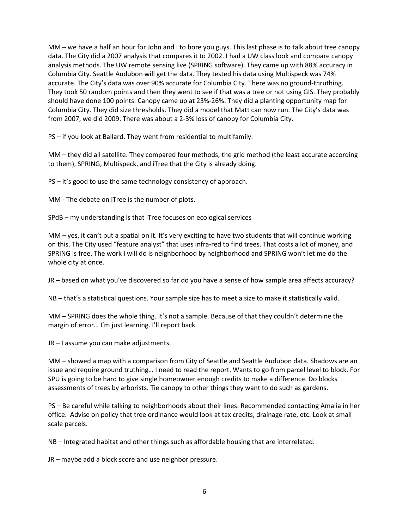MM – we have a half an hour for John and I to bore you guys. This last phase is to talk about tree canopy data. The City did a 2007 analysis that compares it to 2002. I had a UW class look and compare canopy analysis methods. The UW remote sensing live (SPRING software). They came up with 88% accuracy in Columbia City. Seattle Audubon will get the data. They tested his data using Multispeck was 74% accurate. The City's data was over 90% accurate for Columbia City. There was no ground-thruthing. They took 50 random points and then they went to see if that was a tree or not using GIS. They probably should have done 100 points. Canopy came up at 23%-26%. They did a planting opportunity map for Columbia City. They did size thresholds. They did a model that Matt can now run. The City's data was from 2007, we did 2009. There was about a 2-3% loss of canopy for Columbia City.

PS – if you look at Ballard. They went from residential to multifamily.

MM – they did all satellite. They compared four methods, the grid method (the least accurate according to them), SPRING, Multispeck, and iTree that the City is already doing.

PS – it's good to use the same technology consistency of approach.

MM - The debate on iTree is the number of plots.

SPdB – my understanding is that iTree focuses on ecological services

 $MM - yes$ , it can't put a spatial on it. It's very exciting to have two students that will continue working on this. The City used "feature analyst" that uses infra-red to find trees. That costs a lot of money, and SPRING is free. The work I will do is neighborhood by neighborhood and SPRING won't let me do the whole city at once.

JR – based on what you've discovered so far do you have a sense of how sample area affects accuracy?

NB – that's a statistical questions. Your sample size has to meet a size to make it statistically valid.

MM – SPRING does the whole thing. It's not a sample. Because of that they couldn't determine the margin of error… I'm just learning. I'll report back.

JR – I assume you can make adjustments.

MM – showed a map with a comparison from City of Seattle and Seattle Audubon data. Shadows are an issue and require ground truthing… I need to read the report. Wants to go from parcel level to block. For SPU is going to be hard to give single homeowner enough credits to make a difference. Do blocks assessments of trees by arborists. Tie canopy to other things they want to do such as gardens.

PS – Be careful while talking to neighborhoods about their lines. Recommended contacting Amalia in her office. Advise on policy that tree ordinance would look at tax credits, drainage rate, etc. Look at small scale parcels.

NB – Integrated habitat and other things such as affordable housing that are interrelated.

JR – maybe add a block score and use neighbor pressure.